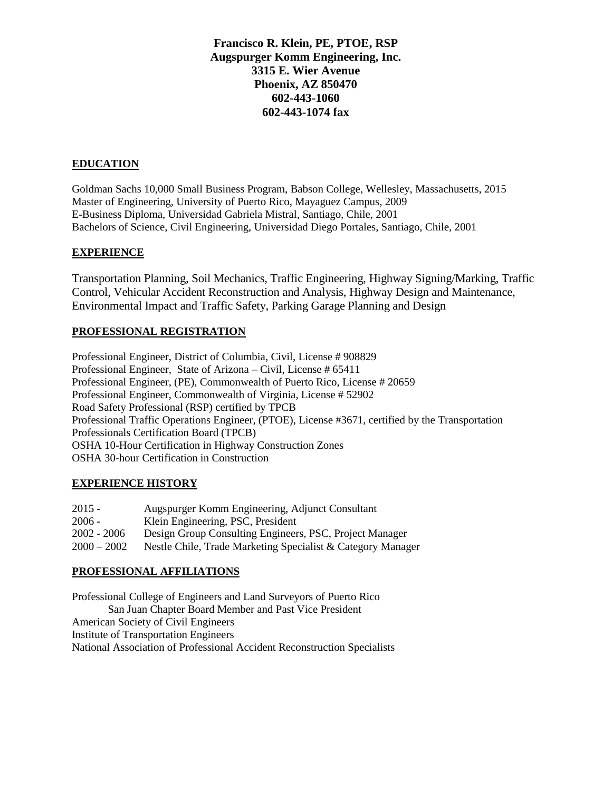# **Francisco R. Klein, PE, PTOE, RSP Augspurger Komm Engineering, Inc. 3315 E. Wier Avenue Phoenix, AZ 850470 602-443-1060 602-443-1074 fax**

#### **EDUCATION**

Goldman Sachs 10,000 Small Business Program, Babson College, Wellesley, Massachusetts, 2015 Master of Engineering, University of Puerto Rico, Mayaguez Campus, 2009 E-Business Diploma, Universidad Gabriela Mistral, Santiago, Chile, 2001 Bachelors of Science, Civil Engineering, Universidad Diego Portales, Santiago, Chile, 2001

#### **EXPERIENCE**

Transportation Planning, Soil Mechanics, Traffic Engineering, Highway Signing/Marking, Traffic Control, Vehicular Accident Reconstruction and Analysis, Highway Design and Maintenance, Environmental Impact and Traffic Safety, Parking Garage Planning and Design

## **PROFESSIONAL REGISTRATION**

Professional Engineer, District of Columbia, Civil, License # 908829 Professional Engineer, State of Arizona – Civil, License # 65411 Professional Engineer, (PE), Commonwealth of Puerto Rico, License # 20659 Professional Engineer, Commonwealth of Virginia, License # 52902 Road Safety Professional (RSP) certified by TPCB Professional Traffic Operations Engineer, (PTOE), License #3671, certified by the Transportation Professionals Certification Board (TPCB) OSHA 10-Hour Certification in Highway Construction Zones OSHA 30-hour Certification in Construction

## **EXPERIENCE HISTORY**

| $2015 -$      | Augspurger Komm Engineering, Adjunct Consultant             |
|---------------|-------------------------------------------------------------|
| $2006 -$      | Klein Engineering, PSC, President                           |
| $2002 - 2006$ | Design Group Consulting Engineers, PSC, Project Manager     |
| $2000 - 2002$ | Nestle Chile, Trade Marketing Specialist & Category Manager |

## **PROFESSIONAL AFFILIATIONS**

Professional College of Engineers and Land Surveyors of Puerto Rico San Juan Chapter Board Member and Past Vice President American Society of Civil Engineers Institute of Transportation Engineers National Association of Professional Accident Reconstruction Specialists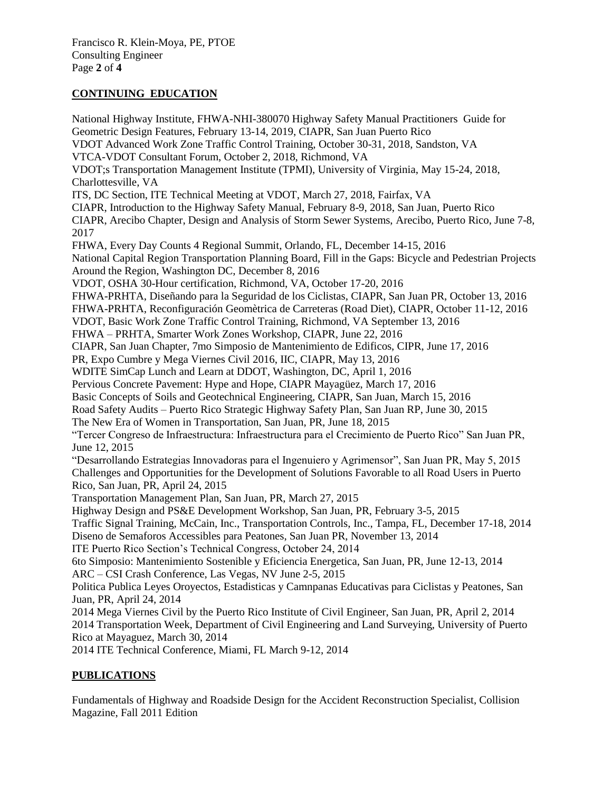## **CONTINUING EDUCATION**

National Highway Institute, FHWA-NHI-380070 Highway Safety Manual Practitioners Guide for Geometric Design Features, February 13-14, 2019, CIAPR, San Juan Puerto Rico VDOT Advanced Work Zone Traffic Control Training, October 30-31, 2018, Sandston, VA VTCA-VDOT Consultant Forum, October 2, 2018, Richmond, VA VDOT;s Transportation Management Institute (TPMI), University of Virginia, May 15-24, 2018, Charlottesville, VA ITS, DC Section, ITE Technical Meeting at VDOT, March 27, 2018, Fairfax, VA CIAPR, Introduction to the Highway Safety Manual, February 8-9, 2018, San Juan, Puerto Rico CIAPR, Arecibo Chapter, Design and Analysis of Storm Sewer Systems, Arecibo, Puerto Rico, June 7-8, 2017 FHWA, Every Day Counts 4 Regional Summit, Orlando, FL, December 14-15, 2016 National Capital Region Transportation Planning Board, Fill in the Gaps: Bicycle and Pedestrian Projects Around the Region, Washington DC, December 8, 2016 VDOT, OSHA 30-Hour certification, Richmond, VA, October 17-20, 2016 FHWA-PRHTA, Diseñando para la Seguridad de los Ciclistas, CIAPR, San Juan PR, October 13, 2016 FHWA-PRHTA, Reconfiguración Geomètrica de Carreteras (Road Diet), CIAPR, October 11-12, 2016 VDOT, Basic Work Zone Traffic Control Training, Richmond, VA September 13, 2016 FHWA – PRHTA, Smarter Work Zones Workshop, CIAPR, June 22, 2016 CIAPR, San Juan Chapter, 7mo Simposio de Mantenimiento de Edificos, CIPR, June 17, 2016 PR, Expo Cumbre y Mega Viernes Civil 2016, IIC, CIAPR, May 13, 2016 WDITE SimCap Lunch and Learn at DDOT, Washington, DC, April 1, 2016 Pervious Concrete Pavement: Hype and Hope, CIAPR Mayagüez, March 17, 2016 Basic Concepts of Soils and Geotechnical Engineering, CIAPR, San Juan, March 15, 2016 Road Safety Audits – Puerto Rico Strategic Highway Safety Plan, San Juan RP, June 30, 2015 The New Era of Women in Transportation, San Juan, PR, June 18, 2015 "Tercer Congreso de Infraestructura: Infraestructura para el Crecimiento de Puerto Rico" San Juan PR, June 12, 2015 "Desarrollando Estrategias Innovadoras para el Ingenuiero y Agrimensor", San Juan PR, May 5, 2015 Challenges and Opportunities for the Development of Solutions Favorable to all Road Users in Puerto Rico, San Juan, PR, April 24, 2015 Transportation Management Plan, San Juan, PR, March 27, 2015 Highway Design and PS&E Development Workshop, San Juan, PR, February 3-5, 2015 Traffic Signal Training, McCain, Inc., Transportation Controls, Inc., Tampa, FL, December 17-18, 2014 Diseno de Semaforos Accessibles para Peatones, San Juan PR, November 13, 2014 ITE Puerto Rico Section's Technical Congress, October 24, 2014 6to Simposio: Mantenimiento Sostenible y Eficiencia Energetica, San Juan, PR, June 12-13, 2014 ARC – CSI Crash Conference, Las Vegas, NV June 2-5, 2015 Politica Publica Leyes Oroyectos, Estadisticas y Camnpanas Educativas para Ciclistas y Peatones, San Juan, PR, April 24, 2014 2014 Mega Viernes Civil by the Puerto Rico Institute of Civil Engineer, San Juan, PR, April 2, 2014 2014 Transportation Week, Department of Civil Engineering and Land Surveying, University of Puerto Rico at Mayaguez, March 30, 2014

2014 ITE Technical Conference, Miami, FL March 9-12, 2014

## **PUBLICATIONS**

Fundamentals of Highway and Roadside Design for the Accident Reconstruction Specialist, Collision Magazine, Fall 2011 Edition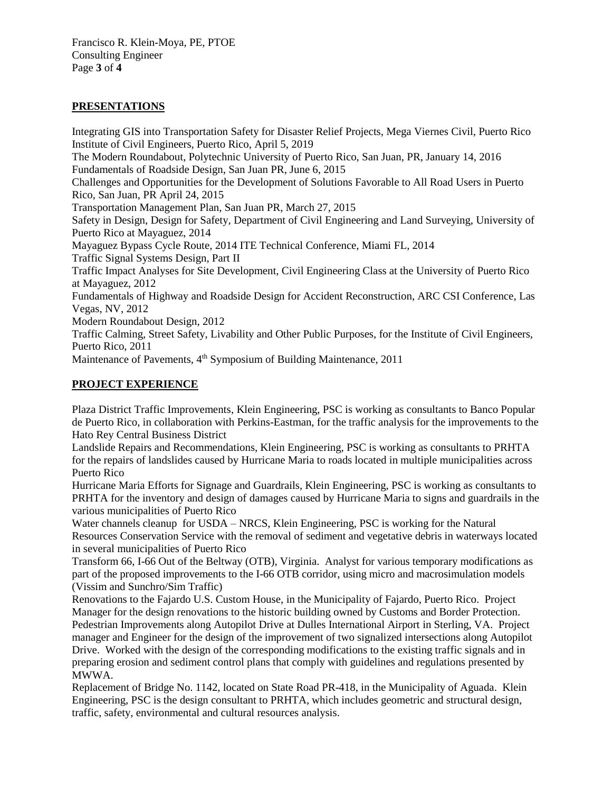## **PRESENTATIONS**

Integrating GIS into Transportation Safety for Disaster Relief Projects, Mega Viernes Civil, Puerto Rico Institute of Civil Engineers, Puerto Rico, April 5, 2019 The Modern Roundabout, Polytechnic University of Puerto Rico, San Juan, PR, January 14, 2016 Fundamentals of Roadside Design, San Juan PR, June 6, 2015 Challenges and Opportunities for the Development of Solutions Favorable to All Road Users in Puerto Rico, San Juan, PR April 24, 2015 Transportation Management Plan, San Juan PR, March 27, 2015 Safety in Design, Design for Safety, Department of Civil Engineering and Land Surveying, University of Puerto Rico at Mayaguez, 2014 Mayaguez Bypass Cycle Route, 2014 ITE Technical Conference, Miami FL, 2014 Traffic Signal Systems Design, Part II Traffic Impact Analyses for Site Development, Civil Engineering Class at the University of Puerto Rico at Mayaguez, 2012 Fundamentals of Highway and Roadside Design for Accident Reconstruction, ARC CSI Conference, Las Vegas, NV, 2012 Modern Roundabout Design, 2012 Traffic Calming, Street Safety, Livability and Other Public Purposes, for the Institute of Civil Engineers, Puerto Rico, 2011

Maintenance of Pavements, 4<sup>th</sup> Symposium of Building Maintenance, 2011

## **PROJECT EXPERIENCE**

Plaza District Traffic Improvements, Klein Engineering, PSC is working as consultants to Banco Popular de Puerto Rico, in collaboration with Perkins-Eastman, for the traffic analysis for the improvements to the Hato Rey Central Business District

Landslide Repairs and Recommendations, Klein Engineering, PSC is working as consultants to PRHTA for the repairs of landslides caused by Hurricane Maria to roads located in multiple municipalities across Puerto Rico

Hurricane Maria Efforts for Signage and Guardrails, Klein Engineering, PSC is working as consultants to PRHTA for the inventory and design of damages caused by Hurricane Maria to signs and guardrails in the various municipalities of Puerto Rico

Water channels cleanup for USDA – NRCS, Klein Engineering, PSC is working for the Natural Resources Conservation Service with the removal of sediment and vegetative debris in waterways located in several municipalities of Puerto Rico

Transform 66, I-66 Out of the Beltway (OTB), Virginia. Analyst for various temporary modifications as part of the proposed improvements to the I-66 OTB corridor, using micro and macrosimulation models (Vissim and Sunchro/Sim Traffic)

Renovations to the Fajardo U.S. Custom House, in the Municipality of Fajardo, Puerto Rico. Project Manager for the design renovations to the historic building owned by Customs and Border Protection. Pedestrian Improvements along Autopilot Drive at Dulles International Airport in Sterling, VA. Project manager and Engineer for the design of the improvement of two signalized intersections along Autopilot Drive. Worked with the design of the corresponding modifications to the existing traffic signals and in preparing erosion and sediment control plans that comply with guidelines and regulations presented by MWWA.

Replacement of Bridge No. 1142, located on State Road PR-418, in the Municipality of Aguada. Klein Engineering, PSC is the design consultant to PRHTA, which includes geometric and structural design, traffic, safety, environmental and cultural resources analysis.